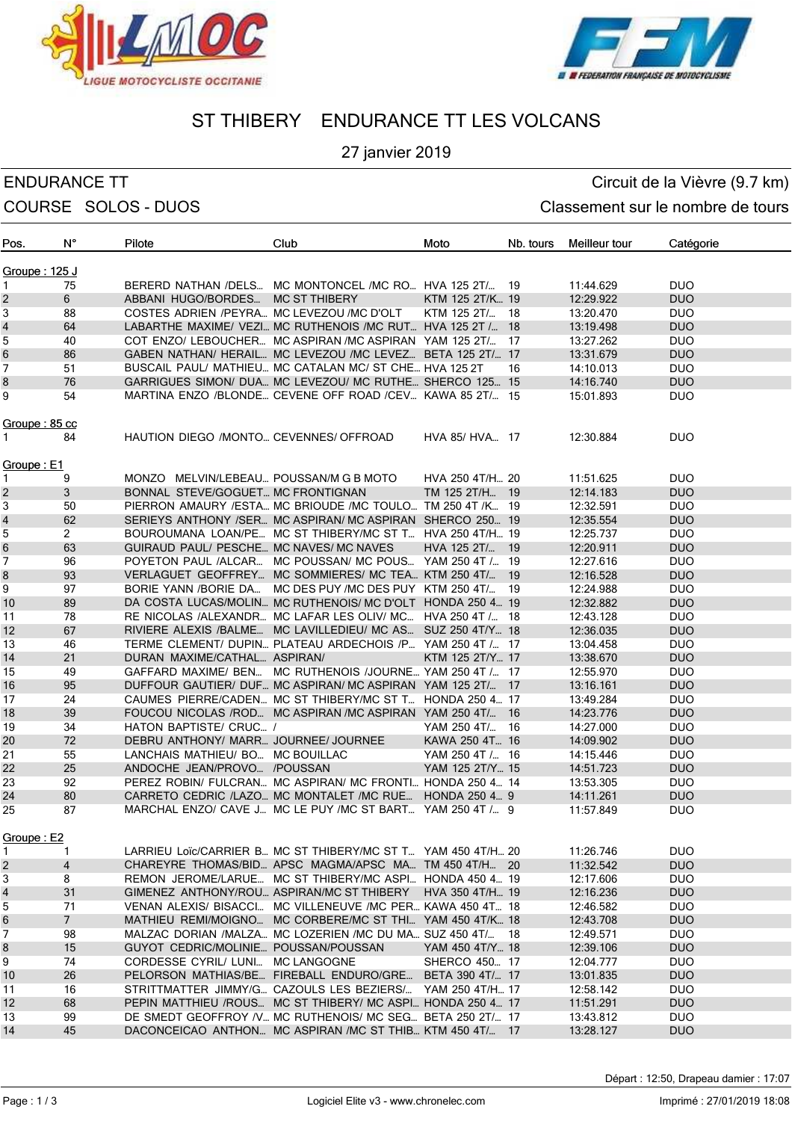



# ST THIBERY ENDURANCE TT LES VOLCANS

### 27 janvier 2019

## ENDURANCE TT CIRCUIT CONTROLLER EN CIRCUIT CIRCUIT CONTROLLER CIRCUIT CIRCUIT CIRCUIT CIRCUIT CIRCUIT CIRCUIT COURSE SOLOS - DUOS COURSE SOLOS - DUOS

| Pos.           | N°              | Pilote                                    | Club                                                         | Moto             | Nb. tours | Meilleur tour | Catégorie  |
|----------------|-----------------|-------------------------------------------|--------------------------------------------------------------|------------------|-----------|---------------|------------|
| Groupe : 125 J |                 |                                           |                                                              |                  |           |               |            |
| 1              | 75              |                                           | BERERD NATHAN /DELS MC MONTONCEL /MC RO HVA 125 2T/ 19       |                  |           | 11:44.629     | <b>DUO</b> |
| 2              | 6               | ABBANI HUGO/BORDES MC ST THIBERY          |                                                              | KTM 125 2T/K 19  |           | 12:29.922     | <b>DUO</b> |
| 3              | 88              | COSTES ADRIEN /PEYRA MC LEVEZOU /MC D'OLT |                                                              | KTM 125 2T/      | -18       | 13:20.470     | <b>DUO</b> |
| 4              | 64              |                                           | LABARTHE MAXIME/ VEZI MC RUTHENOIS /MC RUT HVA 125 2T / 18   |                  |           | 13:19.498     | <b>DUO</b> |
| 5              | 40              |                                           | COT ENZO/ LEBOUCHER MC ASPIRAN /MC ASPIRAN YAM 125 2T/ 17    |                  |           | 13:27.262     | <b>DUO</b> |
| 6              | 86              |                                           | GABEN NATHAN/ HERAIL MC LEVEZOU /MC LEVEZ BETA 125 2T/ 17    |                  |           | 13:31.679     | <b>DUO</b> |
| 7              | 51              |                                           | BUSCAIL PAUL/ MATHIEU MC CATALAN MC/ ST CHE HVA 125 2T       |                  | 16        | 14:10.013     | <b>DUO</b> |
| 8              | 76              |                                           | GARRIGUES SIMON/ DUA MC LEVEZOU/ MC RUTHE SHERCO 125 15      |                  |           | 14:16.740     | <b>DUO</b> |
| 9              | 54              |                                           | MARTINA ENZO /BLONDE CEVENE OFF ROAD /CEV KAWA 85 2T/ 15     |                  |           | 15:01.893     | <b>DUO</b> |
| Groupe : 85 cc |                 |                                           |                                                              |                  |           |               |            |
| 1              | 84              | HAUTION DIEGO /MONTO CEVENNES/ OFFROAD    |                                                              | HVA 85/ HVA 17   |           | 12:30.884     | <b>DUO</b> |
| Groupe : E1    |                 |                                           |                                                              |                  |           |               |            |
| 1              | 9               | MONZO MELVIN/LEBEAU POUSSAN/M G B MOTO    |                                                              | HVA 250 4T/H 20  |           | 11:51.625     | <b>DUO</b> |
| 2              | 3               | BONNAL STEVE/GOGUET MC FRONTIGNAN         |                                                              | TM 125 2T/H., 19 |           | 12:14.183     | <b>DUO</b> |
| 3              | 50              |                                           | PIERRON AMAURY / ESTA MC BRIOUDE / MC TOULO TM 250 4T / K 19 |                  |           | 12:32.591     | <b>DUO</b> |
| 4              | 62              |                                           | SERIEYS ANTHONY /SER MC ASPIRAN/ MC ASPIRAN SHERCO 250 19    |                  |           | 12:35.554     | <b>DUO</b> |
| 5              | $\overline{2}$  |                                           | BOUROUMANA LOAN/PE MC ST THIBERY/MC ST T HVA 250 4T/H 19     |                  |           | 12:25.737     | <b>DUO</b> |
| 6              | 63              | GUIRAUD PAUL/ PESCHE MC NAVES/ MC NAVES   |                                                              | HVA 125 2T/ 19   |           | 12:20.911     | <b>DUO</b> |
| 7              | 96              |                                           | POYETON PAUL /ALCAR MC POUSSAN/ MC POUS YAM 250 4T / 19      |                  |           | 12:27.616     | <b>DUO</b> |
| 8              | 93              |                                           | VERLAGUET GEOFFREY MC SOMMIERES/ MC TEA KTM 250 4T/ 19       |                  |           | 12:16.528     | <b>DUO</b> |
| 9              | 97              |                                           | BORIE YANN /BORIE DA MC DES PUY /MC DES PUY KTM 250 4T/ 19   |                  |           | 12:24.988     | <b>DUO</b> |
| 10             | 89              |                                           | DA COSTA LUCAS/MOLIN MC RUTHENOIS/ MC D'OLT HONDA 250 4 19   |                  |           | 12:32.882     | <b>DUO</b> |
|                | 78              |                                           |                                                              |                  |           |               | <b>DUO</b> |
| 11             | 67              |                                           | RE NICOLAS /ALEXANDR MC LAFAR LES OLIV/ MC HVA 250 4T / 18   |                  |           | 12:43.128     | <b>DUO</b> |
| 12             |                 |                                           | RIVIERE ALEXIS /BALME MC LAVILLEDIEU/ MC AS SUZ 250 4T/Y 18  |                  |           | 12:36.035     |            |
| 13             | 46              |                                           | TERME CLEMENT/ DUPIN PLATEAU ARDECHOIS /P YAM 250 4T / 17    |                  |           | 13:04.458     | <b>DUO</b> |
| 14             | 21              | DURAN MAXIME/CATHAL ASPIRAN/              |                                                              | KTM 125 2T/Y 17  |           | 13:38.670     | <b>DUO</b> |
| 15             | 49              |                                           | GAFFARD MAXIME/ BEN MC RUTHENOIS /JOURNE YAM 250 4T / 17     |                  |           | 12:55.970     | <b>DUO</b> |
| 16             | 95              |                                           | DUFFOUR GAUTIER/ DUF MC ASPIRAN/ MC ASPIRAN YAM 125 2T/ 17   |                  |           | 13:16.161     | <b>DUO</b> |
| 17             | 24              |                                           | CAUMES PIERRE/CADEN MC ST THIBERY/MC ST T HONDA 250 4 17     |                  |           | 13:49.284     | <b>DUO</b> |
| 18             | 39              |                                           | FOUCOU NICOLAS / ROD MC ASPIRAN / MC ASPIRAN YAM 250 4T/     |                  | -16       | 14:23.776     | <b>DUO</b> |
| 19             | 34              | HATON BAPTISTE/ CRUC /                    |                                                              | YAM 250 4T/ 16   |           | 14:27.000     | <b>DUO</b> |
| 20             | 72              | DEBRU ANTHONY/ MARR JOURNEE/ JOURNEE      |                                                              | KAWA 250 4T 16   |           | 14:09.902     | <b>DUO</b> |
| 21             | 55              | LANCHAIS MATHIEU/ BO MC BOUILLAC          |                                                              | YAM 250 4T / 16  |           | 14:15.446     | <b>DUO</b> |
| 22             | 25              | ANDOCHE JEAN/PROVO /POUSSAN               |                                                              | YAM 125 2T/Y 15  |           | 14:51.723     | <b>DUO</b> |
| 23             | 92              |                                           | PEREZ ROBIN/ FULCRAN MC ASPIRAN/ MC FRONTI HONDA 250 4 14    |                  |           | 13:53.305     | <b>DUO</b> |
| 24             | 80              |                                           | CARRETO CEDRIC /LAZO MC MONTALET /MC RUE HONDA 250 4 9       |                  |           | 14:11.261     | <b>DUO</b> |
| 25             | 87              |                                           | MARCHAL ENZO/ CAVE J MC LE PUY / MC ST BART YAM 250 4T / 9   |                  |           | 11:57.849     | <b>DUO</b> |
| Groupe: E2     |                 |                                           |                                                              |                  |           |               |            |
| 1              | 1               |                                           | LARRIEU LOIC/CARRIER B MC ST THIBERY/MC ST T YAM 450 4T/H 20 |                  |           | 11:26.746     | <b>DUO</b> |
| 2              | $\overline{4}$  |                                           | CHAREYRE THOMAS/BID APSC MAGMA/APSC MA TM 450 4T/H 20        |                  |           | 11:32.542     | <b>DUO</b> |
| 3              | 8               |                                           | REMON JEROME/LARUE MC ST THIBERY/MC ASPI HONDA 450 4 19      |                  |           | 12:17.606     | DUO        |
| 4              | 31              | GIMENEZ ANTHONY/ROU ASPIRAN/MC ST THIBERY |                                                              | HVA 350 4T/H 19  |           | 12:16.236     | <b>DUO</b> |
| 5              | 71              |                                           | VENAN ALEXIS/ BISACCI MC VILLENEUVE /MC PER KAWA 450 4T 18   |                  |           | 12:46.582     | DUO        |
| 6              | $7\overline{ }$ |                                           | MATHIEU REMI/MOIGNO MC CORBERE/MC ST THI YAM 450 4T/K 18     |                  |           | 12:43.708     | <b>DUO</b> |
| 7              | 98              |                                           | MALZAC DORIAN /MALZA MC LOZERIEN /MC DU MA SUZ 450 4T/ 18    |                  |           | 12:49.571     | <b>DUO</b> |
| 8              | 15              | GUYOT CEDRIC/MOLINIE POUSSAN/POUSSAN      |                                                              | YAM 450 4T/Y 18  |           | 12:39.106     | <b>DUO</b> |
| 9              | 74              | CORDESSE CYRIL/ LUNI MC LANGOGNE          |                                                              | SHERCO 450 17    |           | 12:04.777     | <b>DUO</b> |
| 10             | 26              |                                           | PELORSON MATHIAS/BE FIREBALL ENDURO/GRE                      | BETA 390 4T/ 17  |           | 13:01.835     | <b>DUO</b> |
| 11             | 16              |                                           | STRITTMATTER JIMMY/G CAZOULS LES BEZIERS/ YAM 250 4T/H 17    |                  |           | 12:58.142     | <b>DUO</b> |
| 12             | 68              |                                           | PEPIN MATTHIEU /ROUS MC ST THIBERY/ MC ASPI HONDA 250 4 17   |                  |           | 11:51.291     | <b>DUO</b> |
| 13             | 99              |                                           | DE SMEDT GEOFFROY / V MC RUTHENOIS/ MC SEG BETA 250 2T/ 17   |                  |           | 13:43.812     | <b>DUO</b> |
| 14             | 45              |                                           | DACONCEICAO ANTHON MC ASPIRAN /MC ST THIB KTM 450 4T/ 17     |                  |           | 13:28.127     | <b>DUO</b> |
|                |                 |                                           |                                                              |                  |           |               |            |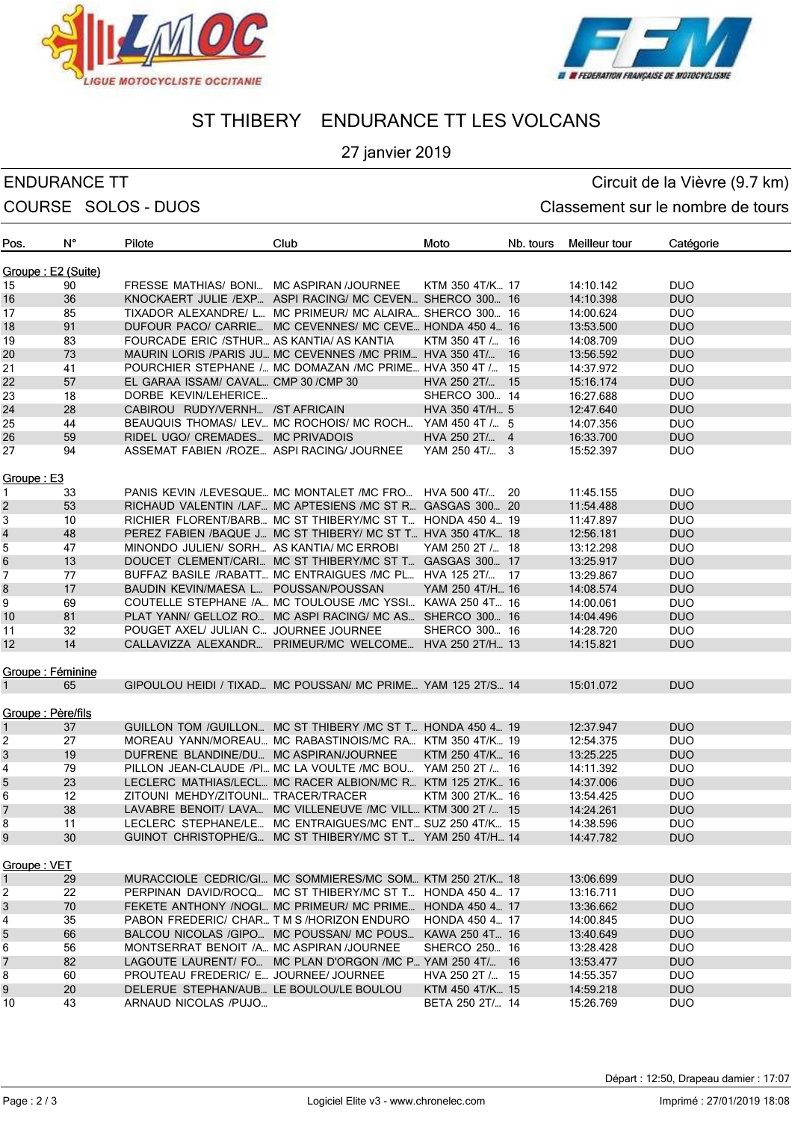



# ST THIBERY ENDURANCE TT LES VOLCANS

### 27 janvier 2019

## ENDURANCE TT CIRCUIT CONTROLLER EN CIRCUIT CIRCUIT CONTROLLER CIRCUIT CIRCUIT CIRCUIT CIRCUIT CIRCUIT CIRCUIT COURSE SOLOS - DUOS COURSE SOLOS - DUOS

| Pos.               | N° | Pilote                                    | Club                                                         | Moto                      | Nb. tours | Meilleur tour | Catégorie  |
|--------------------|----|-------------------------------------------|--------------------------------------------------------------|---------------------------|-----------|---------------|------------|
| Groupe: E2 (Suite) |    |                                           |                                                              |                           |           |               |            |
| 15                 | 90 | FRESSE MATHIAS/ BONI MC ASPIRAN /JOURNEE  |                                                              | KTM 350 4T/K 17           |           | 14:10.142     | DUO        |
| 16                 | 36 |                                           | KNOCKAERT JULIE / EXP ASPI RACING/ MC CEVEN SHERCO 300 16    |                           |           | 14:10.398     | <b>DUO</b> |
| 17                 | 85 |                                           | TIXADOR ALEXANDRE/ L MC PRIMEUR/ MC ALAIRA SHERCO 300 16     |                           |           | 14:00.624     | <b>DUO</b> |
| 18                 | 91 |                                           | DUFOUR PACO/ CARRIE MC CEVENNES/ MC CEVE HONDA 450 4 16      |                           |           | 13:53.500     | DUO        |
| 19                 | 83 | FOURCADE ERIC /STHUR AS KANTIA/ AS KANTIA |                                                              | KTM 350 4T $/_{\dots}$ 16 |           | 14:08.709     | <b>DUO</b> |
| 20                 | 73 |                                           | MAURIN LORIS /PARIS JU MC CEVENNES /MC PRIM HVA 350 4T/      |                           | - 16      | 13:56.592     | <b>DUO</b> |
| 21                 | 41 |                                           | POURCHIER STEPHANE / MC DOMAZAN /MC PRIME HVA 350 4T / 15    |                           |           | 14:37.972     | <b>DUO</b> |
| 22                 | 57 | EL GARAA ISSAM/ CAVAL CMP 30 / CMP 30     |                                                              | HVA 250 2T/ 15            |           | 15:16.174     | DUO        |
| 23                 | 18 | DORBE KEVIN/LEHERICE                      |                                                              | SHERCO 300 14             |           | 16:27.688     | <b>DUO</b> |
| 24                 | 28 | CABIROU RUDY/VERNH /ST AFRICAIN           |                                                              | HVA 350 4T/H 5            |           | 12:47.640     | <b>DUO</b> |
| 25                 | 44 |                                           | BEAUQUIS THOMAS/ LEV MC ROCHOIS/ MC ROCH YAM 450 4T / 5      |                           |           | 14:07.356     | <b>DUO</b> |
| 26                 | 59 | RIDEL UGO/ CREMADES MC PRIVADOIS          |                                                              | HVA 250 $2T/\dots$ 4      |           | 16:33.700     | DUO        |
| 27                 | 94 |                                           |                                                              |                           |           |               |            |
|                    |    | ASSEMAT FABIEN /ROZE ASPI RACING/ JOURNEE |                                                              | YAM 250 4T/ 3             |           | 15:52.397     | <b>DUO</b> |
| Groupe: E3         |    |                                           |                                                              |                           |           |               |            |
| $\mathbf{1}$       | 33 |                                           | PANIS KEVIN /LEVESQUE MC MONTALET /MC FRO HVA 500 4T/ 20     |                           |           | 11:45.155     | <b>DUO</b> |
| $\overline{c}$     | 53 |                                           | RICHAUD VALENTIN /LAF MC APTESIENS /MC ST R GASGAS 300 20    |                           |           | 11:54.488     | <b>DUO</b> |
| 3                  | 10 |                                           | RICHIER FLORENT/BARB MC ST THIBERY/MC ST T HONDA 450 4 19    |                           |           | 11:47.897     | <b>DUO</b> |
| 4                  | 48 |                                           | PEREZ FABIEN /BAQUE J MC ST THIBERY/ MC ST T HVA 350 4T/K 18 |                           |           | 12:56.181     | DUO        |
| 5                  | 47 | MINONDO JULIEN/ SORH AS KANTIA/ MC ERROBI |                                                              | YAM 250 2T / 18           |           | 13:12.298     | <b>DUO</b> |
| 6                  | 13 |                                           | DOUCET CLEMENT/CARI MC ST THIBERY/MC ST T GASGAS 300 17      |                           |           | 13:25.917     | <b>DUO</b> |
| 7                  | 77 |                                           | BUFFAZ BASILE /RABATT MC ENTRAIGUES /MC PL HVA 125 2T/ 17    |                           |           | 13:29.867     | <b>DUO</b> |
| 8                  | 17 | BAUDIN KEVIN/MAESA L POUSSAN/POUSSAN      |                                                              | YAM 250 4T/H 16           |           | 14:08.574     | <b>DUO</b> |
| 9                  | 69 |                                           | COUTELLE STEPHANE /A MC TOULOUSE /MC YSSI KAWA 250 4T 16     |                           |           | 14:00.061     | <b>DUO</b> |
| 10                 | 81 |                                           | PLAT YANN/ GELLOZ RO MC ASPI RACING/ MC AS SHERCO 300 16     |                           |           | 14:04.496     | <b>DUO</b> |
| 11                 | 32 | POUGET AXEL/ JULIAN C JOURNEE JOURNEE     |                                                              | SHERCO 300 16             |           | 14:28.720     | <b>DUO</b> |
| 12                 | 14 |                                           | CALLAVIZZA ALEXANDR PRIMEUR/MC WELCOME HVA 250 2T/H 13       |                           |           | 14:15.821     | <b>DUO</b> |
|                    |    |                                           |                                                              |                           |           |               |            |
| Groupe : Féminine  |    |                                           |                                                              |                           |           |               |            |
| $\mathbf{1}$       | 65 |                                           | GIPOULOU HEIDI / TIXAD MC POUSSAN/ MC PRIME YAM 125 2T/S 14  |                           |           | 15:01.072     | <b>DUO</b> |
| Groupe: Père/fils  |    |                                           |                                                              |                           |           |               |            |
|                    |    |                                           |                                                              |                           |           |               |            |
| 1                  | 37 |                                           | GUILLON TOM /GUILLON MC ST THIBERY /MC ST T HONDA 450 4 19   |                           |           | 12:37.947     | <b>DUO</b> |
| $\overline{2}$     | 27 |                                           | MOREAU YANN/MOREAU MC RABASTINOIS/MC RA KTM 350 4T/K 19      |                           |           | 12:54.375     | <b>DUO</b> |
| 3                  | 19 | DUFRENE BLANDINE/DU MC ASPIRAN/JOURNEE    |                                                              | KTM 250 4T/K 16           |           | 13:25.225     | DUO        |
| 4                  | 79 |                                           | PILLON JEAN-CLAUDE /PI MC LA VOULTE /MC BOU YAM 250 2T / 16  |                           |           | 14:11.392     | DUO        |
| 5                  | 23 |                                           | LECLERC MATHIAS/LECL MC RACER ALBION/MC R KTM 125 2T/K 16    |                           |           | 14:37.006     | DUO        |
| 6                  | 12 | ZITOUNI MEHDY/ZITOUNI TRACER/TRACER       |                                                              | KTM 300 2T/K 16           |           | 13:54.425     | <b>DUO</b> |
| $\overline{7}$     | 38 |                                           | LAVABRE BENOIT/ LAVA MC VILLENEUVE /MC VILL KTM 300 2T / 15  |                           |           | 14:24.261     | <b>DUO</b> |
| 8                  | 11 |                                           | LECLERC STEPHANE/LE MC ENTRAIGUES/MC ENT SUZ 250 4T/K 15     |                           |           | 14:38.596     | <b>DUO</b> |
| 9                  | 30 |                                           | GUINOT CHRISTOPHE/G MC ST THIBERY/MC ST T YAM 250 4T/H 14    |                           |           | 14:47.782     | <b>DUO</b> |
| Groupe: VET        |    |                                           |                                                              |                           |           |               |            |
| 1                  | 29 |                                           | MURACCIOLE CEDRIC/GI MC SOMMIERES/MC SOM KTM 250 2T/K 18     |                           |           | 13:06.699     | DUO        |
| 2                  | 22 |                                           | PERPINAN DAVID/ROCQ MC ST THIBERY/MC ST T HONDA 450 4 17     |                           |           | 13:16.711     | <b>DUO</b> |
| 3                  | 70 |                                           | FEKETE ANTHONY /NOGI MC PRIMEUR/ MC PRIME HONDA 450 4 17     |                           |           | 13:36.662     | DUO        |
| 4                  | 35 | PABON FREDERIC/ CHAR T M S/HORIZON ENDURO |                                                              | HONDA 450 4 17            |           | 14:00.845     | <b>DUO</b> |
| 5                  | 66 |                                           | BALCOU NICOLAS /GIPO MC POUSSAN/ MC POUS                     | KAWA 250 4T 16            |           | 13:40.649     | DUO        |
| 6                  | 56 | MONTSERRAT BENOIT /A MC ASPIRAN /JOURNEE  |                                                              | SHERCO 250 16             |           | 13:28.428     | <b>DUO</b> |
| 7                  | 82 |                                           | LAGOUTE LAURENT/ FO MC PLAN D'ORGON /MC P YAM 250 4T/ 16     |                           |           | 13:53.477     | <b>DUO</b> |
| 8                  | 60 | PROUTEAU FREDERIC/ E JOURNEE/ JOURNEE     |                                                              | HVA 250 2T $/_{\dots}$ 15 |           | 14:55.357     | <b>DUO</b> |
| 9                  | 20 | DELERUE STEPHAN/AUB LE BOULOU/LE BOULOU   |                                                              | KTM 450 4T/K 15           |           | 14:59.218     | <b>DUO</b> |
| 10                 | 43 | ARNAUD NICOLAS /PUJO                      |                                                              | BETA 250 2T/ 14           |           | 15:26.769     | <b>DUO</b> |
|                    |    |                                           |                                                              |                           |           |               |            |